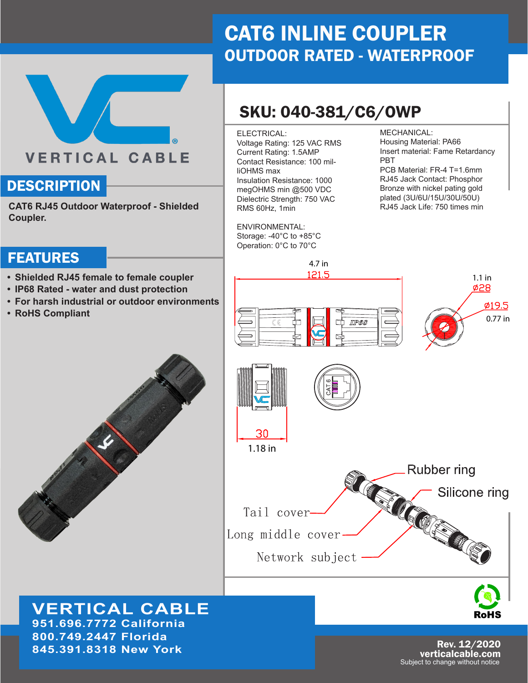## CAT6 INLINE COUPLER OUTDOOR RATED - WATERPROOF

## SKU: 040-381/C6/OWP

4.7 in

121.5

#### ELECTRICAL:

Voltage Rating: 125 VAC RMS Current Rating: 1.5AMP Contact Resistance: 100 milliOHMS max Insulation Resistance: 1000 megOHMS min @500 VDC Dielectric Strength: 750 VAC RMS 60Hz, 1min

ENVIRONMENTAL: Storage: -40°C to +85°C Operation: 0°C to 70°C

MECHANICAL:

Housing Material: PA66 Insert material: Fame Retardancy PBT

PCB Material: FR-4 T=1.6mm RJ45 Jack Contact: Phosphor Bronze with nickel pating gold plated (3U/6U/15U/30U/50U) RJ45 Jack Life: 750 times min

1.1 in

 $\phi$ 28

0.77 in

 $Ø19.5$ 

### FEATURES

**Coupler.**

**DESCRIPTION** 

**• Shielded RJ45 female to female coupler**

**CAT6 RJ45 Outdoor Waterproof - Shielded** 

**VERTICAL CABLE** 

- **• IP68 Rated water and dust protection**
- **• For harsh industrial or outdoor environments**
- **• RoHS Compliant**





**951.696.7772 California 800.749.2447 Florida 845.391.8318 New York**

30 1.18 in **Rubber ring CONSCIENCE** Silicone ring Tail cover Long middle cover Network subject

**IIPBS** 



Rev. 12/2020 verticalcable.com Subject to change without notice